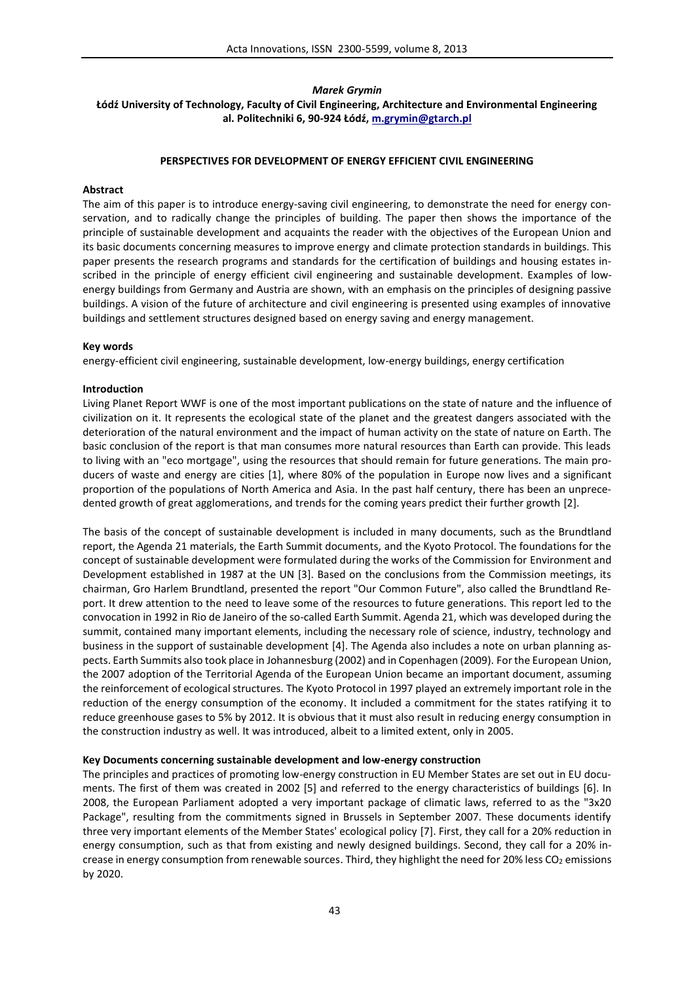# *Marek Grymin* **Łódź University of Technology, Faculty of Civil Engineering, Architecture and Environmental Engineering al. Politechniki 6, 90-924 Łódź, m.grymin@gtarch.pl**

# **PERSPECTIVES FOR DEVELOPMENT OF ENERGY EFFICIENT CIVIL ENGINEERING**

## **Abstract**

The aim of this paper is to introduce energy-saving civil engineering, to demonstrate the need for energy conservation, and to radically change the principles of building. The paper then shows the importance of the principle of sustainable development and acquaints the reader with the objectives of the European Union and its basic documents concerning measures to improve energy and climate protection standards in buildings. This paper presents the research programs and standards for the certification of buildings and housing estates inscribed in the principle of energy efficient civil engineering and sustainable development. Examples of low energy buildings from Germany and Austria are shown, with an emphasis on the principles of designing passive buildings. A vision of the future of architecture and civil engineering is presented using examples of innovative buildings and settlement structures designed based on energy saving and energy management.

# **Key words**

energy-efficient civil engineering, sustainable development, low-energy buildings, energy certification

# **Introduction**

Living Planet Report WWF is one of the most important publications on the state of nature and the influence of civilization on it. It represents the ecological state of the planet and the greatest dangers associated with the deterioration of the natural environment and the impact of human activity on the state of nature on Earth. The basic conclusion of the report is that man consumes more natural resources than Earth can provide. This leads to living with an "eco mortgage", using the resources that should remain for future generations. The main producers of waste and energy are cities [1], where 80% of the population in Europe now lives and a significant proportion of the populations of North America and Asia. In the past half century, there has been an unprecedented growth of great agglomerations, and trends for the coming years predict their further growth [2].

The basis of the concept of sustainable development is included in many documents, such as the Brundtland report, the Agenda 21 materials, the Earth Summit documents, and the Kyoto Protocol. The foundations for the concept of sustainable development were formulated during the works of the Commission for Environment and Development established in 1987 at the UN [3]. Based on the conclusions from the Commission meetings, its chairman, Gro Harlem Brundtland, presented the report "Our Common Future", also called the Brundtland Report. It drew attention to the need to leave some of the resources to future generations. This report led to the convocation in 1992 in Rio de Janeiro of the so-called Earth Summit. Agenda 21, which was developed during the summit, contained many important elements, including the necessary role of science, industry, technology and business in the support of sustainable development [4]. The Agenda also includes a note on urban planning aspects. Earth Summits also took place in Johannesburg (2002) and in Copenhagen (2009). For the European Union, the 2007 adoption of the Territorial Agenda of the European Union became an important document, assuming the reinforcement of ecological structures. The Kyoto Protocol in 1997 played an extremely important role in the reduction of the energy consumption of the economy. It included a commitment for the states ratifying it to reduce greenhouse gases to 5% by 2012. It is obvious that it must also result in reducing energy consumption in the construction industry as well. It was introduced, albeit to a limited extent, only in 2005.

### **Key Documents concerning sustainable development and low-energy construction**

The principles and practices of promoting low-energy construction in EU Member States are set out in EU documents. The first of them was created in 2002 [5] and referred to the energy characteristics of buildings [6]. In 2008, the European Parliament adopted a very important package of climatic laws, referred to as the "3x20 Package", resulting from the commitments signed in Brussels in September 2007. These documents identify three very important elements of the Member States' ecological policy [7]. First, they call for a 20% reduction in energy consumption, such as that from existing and newly designed buildings. Second, they call for a 20% increase in energy consumption from renewable sources. Third, they highlight the need for 20% less CO<sub>2</sub> emissions by 2020.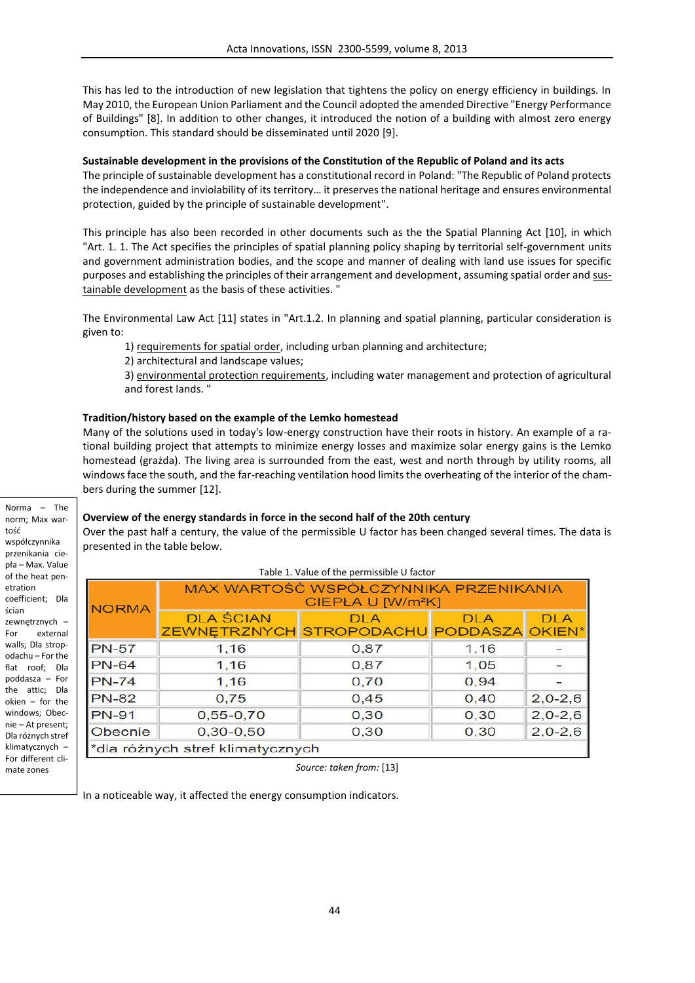This has led to the introduction of new legislation that tightens the policy on energy efficiency in buildings. In May 2010, the European Union Parliament and the Council adopted the amended Directive "Energy Performance of Buildings" [8]. In addition to other changes, it introduced the notion of a building with almost zero energy consumption. This standard should be disseminated until 2020 [9].

# **Sustainable development in the provisions of the Constitution of the Republic of Poland and its acts**

The principle of sustainable development has a constitutional record in Poland: "The Republic of Poland protects the independence and inviolability of its territory… it preserves the national heritage and ensures environmental protection, guided by the principle of sustainable development".

This principle has also been recorded in other documents such as the the Spatial Planning Act [10], in which "Art. 1. 1. The Act specifies the principles of spatial planning policy shaping by territorial self-government units and government administration bodies, and the scope and manner of dealing with land use issues for specific purposes and establishing the principles of their arrangement and development, assuming spatial order and sustainable development as the basis of these activities. "

The Environmental Law Act [11] states in "Art.1.2. In planning and spatial planning, particular consideration is given to:

1) requirements for spatial order, including urban planning and architecture;

2) architectural and landscape values;

3) environmental protection requirements, including water management and protection of agricultural and forest lands. "

# **Tradition/history based on the example of the Lemko homestead**

Many of the solutions used in today's low-energy construction have their roots in history. An example of a rational building project that attempts to minimize energy losses and maximize solar energy gains is the Lemko homestead (grażda). The living area is surrounded from the east, west and north through by utility rooms, all windows face the south, and the far-reaching ventilation hood limits the overheating of the interior of the chambers during the summer [12].

Norma – The norm; Max wartość współczynnika przenikania ciepła – Max. Value of the heat penetration coefficient; Dla ścian zewnętrznych – For external walls; Dla stropodachu – For the flat roof; Dla poddasza – For the attic; Dla okien – for the windows; Obecnie – At present; Dla różnych stref klimatycznych – For different climate zones

### **Overview of the energy standards in force in the second half of the 20th century**

Over the past half a century, the value of the permissible U factor has been changed several times. The data is presented in the table below.

| Table 1. Value of the permissible U factor |                                                                        |            |            |            |  |
|--------------------------------------------|------------------------------------------------------------------------|------------|------------|------------|--|
| <b>NORMA</b>                               | MAX WARTOŚĆ WSPÓŁCZYNNIKA PRZENIKANIA<br>CIEPŁA U [W/m <sup>2</sup> K] |            |            |            |  |
|                                            | <b>DLA ŚCIAN</b><br><b>ZEWNETRZNYCH STROPODACHU PODDASZA OKIEN*</b>    | <b>DLA</b> | <b>DLA</b> | <b>DLA</b> |  |
| <b>PN-57</b>                               | 1,16                                                                   | 0,87       | 1,16       |            |  |
| <b>PN-64</b>                               | 1,16                                                                   | 0,87       | 1,05       |            |  |
| <b>PN-74</b>                               | 1,16                                                                   | 0,70       | 0,94       |            |  |
| <b>PN-82</b>                               | 0,75                                                                   | 0,45       | 0,40       | $2,0-2,6$  |  |
| <b>PN-91</b>                               | $0,55 - 0,70$                                                          | 0,30       | 0,30       | $2,0-2,6$  |  |
| Obecnie                                    | $0,30-0,50$                                                            | 0,30       | 0, 30      | $2,0-2,6$  |  |
| *dla różnych stref klimatycznych           |                                                                        |            |            |            |  |

*Source: taken from:* [13]

In a noticeable way, it affected the energy consumption indicators.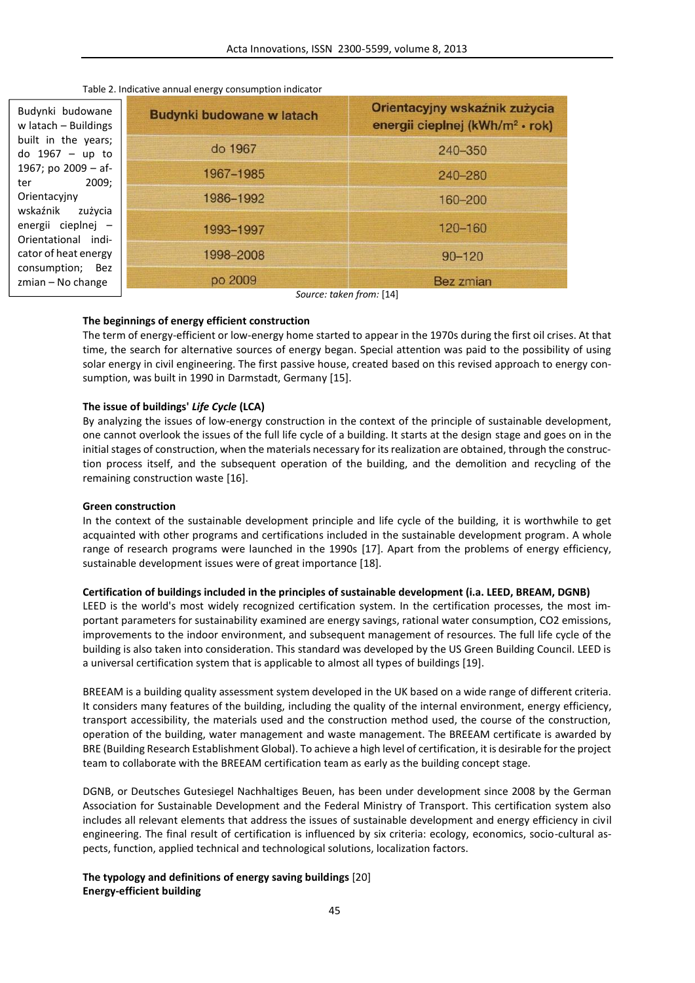| Table 2. Indicative annual energy consumption indicator |  |
|---------------------------------------------------------|--|
|---------------------------------------------------------|--|

| Budynki budowane<br>w latach $-$ Buildings<br>built in the years;<br>do $1967 - up$ to<br>1967; po $2009 - af-$<br>2009:<br>ter<br>Orientacyjny<br>wskaźnik<br>zużycia<br>energii cieplnej -<br>Orientational indi-<br>cator of heat energy<br>consumption; Bez<br>$z$ mian – No change | Budynki budowane w latach                     | Orientacyjny wskaźnik zużycia<br>energii cieplnej (kWh/m <sup>2</sup> · rok) |
|-----------------------------------------------------------------------------------------------------------------------------------------------------------------------------------------------------------------------------------------------------------------------------------------|-----------------------------------------------|------------------------------------------------------------------------------|
|                                                                                                                                                                                                                                                                                         | do 1967                                       | 240-350                                                                      |
|                                                                                                                                                                                                                                                                                         | 1967-1985                                     | 240-280                                                                      |
|                                                                                                                                                                                                                                                                                         | 1986-1992                                     | 160-200                                                                      |
|                                                                                                                                                                                                                                                                                         | 1993-1997                                     | 120-160                                                                      |
|                                                                                                                                                                                                                                                                                         | 1998-2008                                     | $90 - 120$                                                                   |
|                                                                                                                                                                                                                                                                                         | po 2009<br>$C_{\text{OUTCO}}$ taken from [14] | <b>Bez zmian</b>                                                             |

*Source: taken from:* [14]

# **The beginnings of energy efficient construction**

The term of energy-efficient or low-energy home started to appear in the 1970s during the first oil crises. At that time, the search for alternative sources of energy began. Special attention was paid to the possibility of using solar energy in civil engineering. The first passive house, created based on this revised approach to energy consumption, was built in 1990 in Darmstadt, Germany [15].

## **The issue of buildings'** *Life Cycle* **(LCA)**

By analyzing the issues of low-energy construction in the context of the principle of sustainable development, one cannot overlook the issues of the full life cycle of a building. It starts at the design stage and goes on in the initial stages of construction, when the materials necessary for its realization are obtained, through the construction process itself, and the subsequent operation of the building, and the demolition and recycling of the remaining construction waste [16].

### **Green construction**

In the context of the sustainable development principle and life cycle of the building, it is worthwhile to get acquainted with other programs and certifications included in the sustainable development program. A whole range of research programs were launched in the 1990s [17]. Apart from the problems of energy efficiency, sustainable development issues were of great importance [18].

### **Certification of buildings included in the principles of sustainable development (i.a. LEED, BREAM, DGNB)**

LEED is the world's most widely recognized certification system. In the certification processes, the most important parameters for sustainability examined are energy savings, rational water consumption, CO2 emissions, improvements to the indoor environment, and subsequent management of resources. The full life cycle of the building is also taken into consideration. This standard was developed by the US Green Building Council. LEED is a universal certification system that is applicable to almost all types of buildings [19].

BREEAM is a building quality assessment system developed in the UK based on a wide range of different criteria. It considers many features of the building, including the quality of the internal environment, energy efficiency, transport accessibility, the materials used and the construction method used, the course of the construction, operation of the building, water management and waste management. The BREEAM certificate is awarded by BRE (Building Research Establishment Global). To achieve a high level of certification, it is desirable for the project team to collaborate with the BREEAM certification team as early as the building concept stage.

DGNB, or Deutsches Gutesiegel Nachhaltiges Beuen, has been under development since 2008 by the German Association for Sustainable Development and the Federal Ministry of Transport. This certification system also includes all relevant elements that address the issues of sustainable development and energy efficiency in civil engineering. The final result of certification is influenced by six criteria: ecology, economics, socio-cultural aspects, function, applied technical and technological solutions, localization factors.

# **The typology and definitions of energy saving buildings** [20] **Energy-efficient building**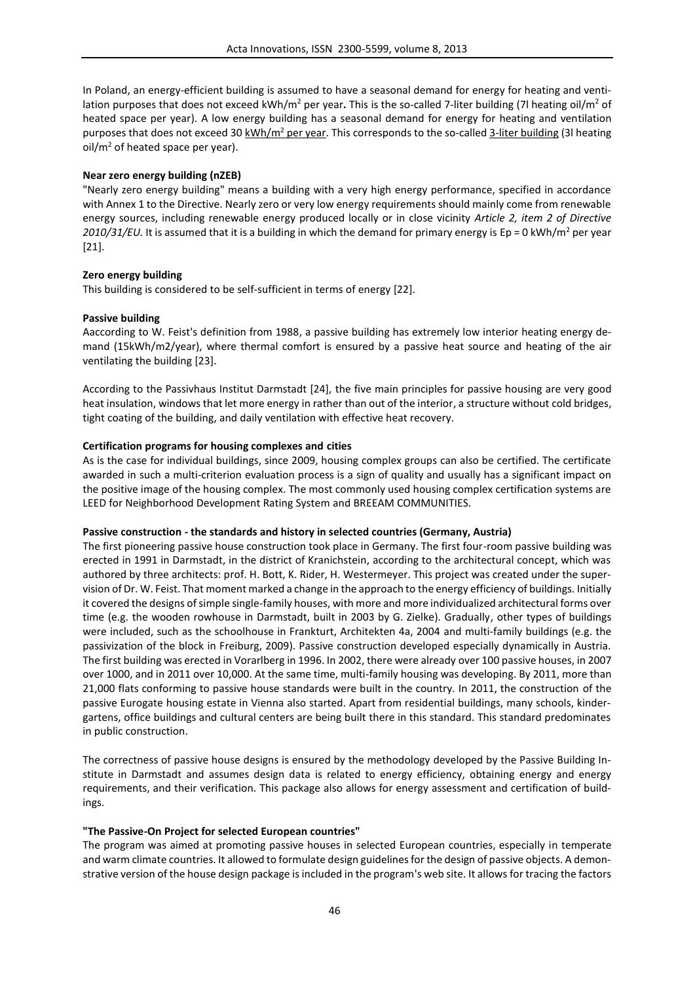In Poland, an energy-efficient building is assumed to have a seasonal demand for energy for heating and ventilation purposes that does not exceed kWh/m<sup>2</sup> per year. This is the so-called 7-liter building (7l heating oil/m<sup>2</sup> of heated space per year). A low energy building has a seasonal demand for energy for heating and ventilation purposes that does not exceed 30 kWh/m<sup>2</sup> per year. This corresponds to the so-called 3-liter building (3l heating  $oil/m<sup>2</sup>$  of heated space per year).

### **Near zero energy building (nZEB)**

"Nearly zero energy building" means a building with a very high energy performance, specified in accordance with Annex 1 to the Directive. Nearly zero or very low energy requirements should mainly come from renewable energy sources, including renewable energy produced locally or in close vicinity *Article 2, item 2 of Directive 2010/31/EU*. It is assumed that it is a building in which the demand for primary energy is Ep = 0 kWh/m<sup>2</sup> per year [21].

## **Zero energy building**

This building is considered to be self-sufficient in terms of energy [22].

#### **Passive building**

Aaccording to W. Feist's definition from 1988, a passive building has extremely low interior heating energy demand (15kWh/m2/year), where thermal comfort is ensured by a passive heat source and heating of the air ventilating the building [23].

According to the Passivhaus Institut Darmstadt [24], the five main principles for passive housing are very good heat insulation, windows that let more energy in rather than out of the interior, a structure without cold bridges, tight coating of the building, and daily ventilation with effective heat recovery.

### **Certification programs for housing complexes and cities**

As is the case for individual buildings, since 2009, housing complex groups can also be certified. The certificate awarded in such a multi-criterion evaluation process is a sign of quality and usually has a significant impact on the positive image of the housing complex. The most commonly used housing complex certification systems are LEED for Neighborhood Development Rating System and BREEAM COMMUNITIES.

### **Passive construction - the standards and history in selected countries (Germany, Austria)**

The first pioneering passive house construction took place in Germany. The first four-room passive building was erected in 1991 in Darmstadt, in the district of Kranichstein, according to the architectural concept, which was authored by three architects: prof. H. Bott, K. Rider, H. Westermeyer. This project was created under the supervision of Dr. W. Feist. That moment marked a change in the approach to the energy efficiency of buildings. Initially it covered the designs of simple single-family houses, with more and more individualized architectural forms over time (e.g. the wooden rowhouse in Darmstadt, built in 2003 by G. Zielke). Gradually, other types of buildings were included, such as the schoolhouse in Frankturt, Architekten 4a, 2004 and multi-family buildings (e.g. the passivization of the block in Freiburg, 2009). Passive construction developed especially dynamically in Austria. The first building was erected in Vorarlberg in 1996. In 2002, there were already over 100 passive houses, in 2007 over 1000, and in 2011 over 10,000. At the same time, multi-family housing was developing. By 2011, more than 21,000 flats conforming to passive house standards were built in the country. In 2011, the construction of the passive Eurogate housing estate in Vienna also started. Apart from residential buildings, many schools, kindergartens, office buildings and cultural centers are being built there in this standard. This standard predominates in public construction.

The correctness of passive house designs is ensured by the methodology developed by the Passive Building Institute in Darmstadt and assumes design data is related to energy efficiency, obtaining energy and energy requirements, and their verification. This package also allows for energy assessment and certification of buildings.

#### **"The Passive-On Project for selected European countries"**

The program was aimed at promoting passive houses in selected European countries, especially in temperate and warm climate countries. It allowed to formulate design guidelines for the design of passive objects. A demonstrative version of the house design package is included in the program's web site. It allows for tracing the factors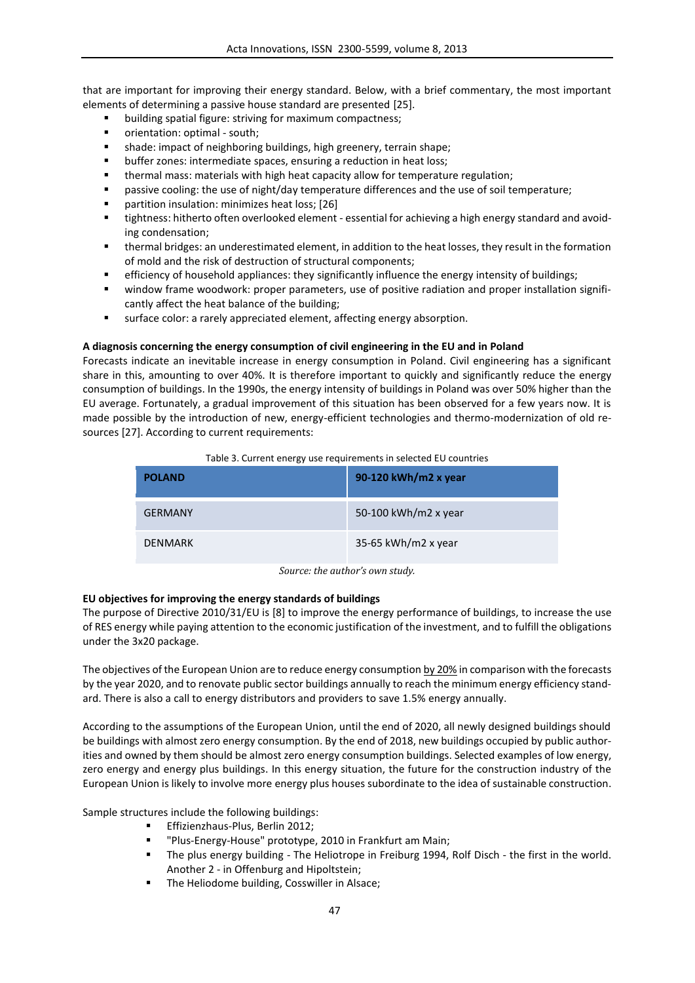that are important for improving their energy standard. Below, with a brief commentary, the most important elements of determining a passive house standard are presented [25].

- building spatial figure: striving for maximum compactness;
- orientation: optimal south;
- shade: impact of neighboring buildings, high greenery, terrain shape;
- buffer zones: intermediate spaces, ensuring a reduction in heat loss;
- thermal mass: materials with high heat capacity allow for temperature regulation;
- passive cooling: the use of night/day temperature differences and the use of soil temperature;
- **•** partition insulation: minimizes heat loss; [26]
- tightness: hitherto often overlooked element essential for achieving a high energy standard and avoiding condensation;
- thermal bridges: an underestimated element, in addition to the heat losses, they result in the formation of mold and the risk of destruction of structural components;
- efficiency of household appliances: they significantly influence the energy intensity of buildings;
- window frame woodwork: proper parameters, use of positive radiation and proper installation significantly affect the heat balance of the building;
- surface color: a rarely appreciated element, affecting energy absorption.

# **A diagnosis concerning the energy consumption of civil engineering in the EU and in Poland**

Forecasts indicate an inevitable increase in energy consumption in Poland. Civil engineering has a significant share in this, amounting to over 40%. It is therefore important to quickly and significantly reduce the energy consumption of buildings. In the 1990s, the energy intensity of buildings in Poland was over 50% higher than the EU average. Fortunately, a gradual improvement of this situation has been observed for a few years now. It is made possible by the introduction of new, energy-efficient technologies and thermo-modernization of old resources [27]. According to current requirements:

# Table 3. Current energy use requirements in selected EU countries

| <b>POLAND</b>  | 90-120 kWh/m2 x year |
|----------------|----------------------|
| <b>GFRMANY</b> | 50-100 kWh/m2 x year |
| <b>DENMARK</b> | 35-65 kWh/m2 x year  |

*Source: the author's own study.*

# **EU objectives for improving the energy standards of buildings**

The purpose of Directive 2010/31/EU is [8] to improve the energy performance of buildings, to increase the use of RES energy while paying attention to the economic justification of the investment, and to fulfill the obligations under the 3x20 package.

The objectives of the European Union are to reduce energy consumption by 20% in comparison with the forecasts by the year 2020, and to renovate public sector buildings annually to reach the minimum energy efficiency standard. There is also a call to energy distributors and providers to save 1.5% energy annually.

According to the assumptions of the European Union, until the end of 2020, all newly designed buildings should be buildings with almost zero energy consumption. By the end of 2018, new buildings occupied by public authorities and owned by them should be almost zero energy consumption buildings. Selected examples of low energy, zero energy and energy plus buildings. In this energy situation, the future for the construction industry of the European Union is likely to involve more energy plus houses subordinate to the idea of sustainable construction.

Sample structures include the following buildings:

- Effizienzhaus-Plus, Berlin 2012;
- "Plus-Energy-House" prototype, 2010 in Frankfurt am Main;
- The plus energy building The Heliotrope in Freiburg 1994, Rolf Disch the first in the world. Another 2 - in Offenburg and Hipoltstein;
- The Heliodome building, Cosswiller in Alsace;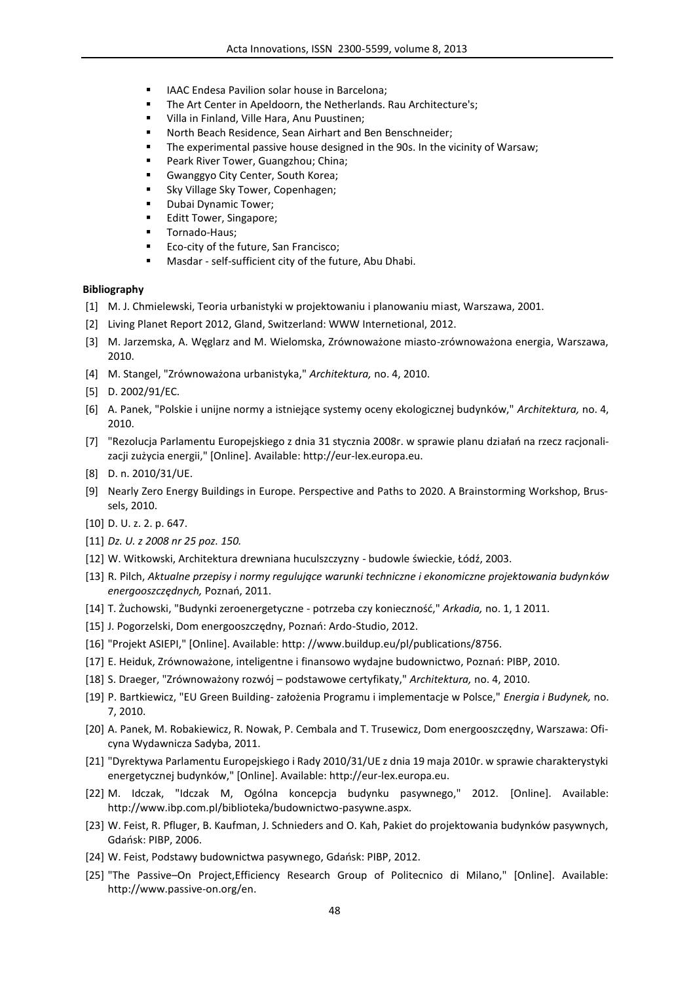- IAAC Endesa Pavilion solar house in Barcelona;
- The Art Center in Apeldoorn, the Netherlands. Rau Architecture's;
- Villa in Finland, Ville Hara, Anu Puustinen;
- North Beach Residence, Sean Airhart and Ben Benschneider;
- **The experimental passive house designed in the 90s. In the vicinity of Warsaw;**
- Peark River Tower, Guangzhou; China;
- Gwanggyo City Center, South Korea;
- Sky Village Sky Tower, Copenhagen;
- Dubai Dynamic Tower;
- Editt Tower, Singapore;
- **Tornado-Haus;**
- Eco-city of the future, San Francisco;
- Masdar self-sufficient city of the future, Abu Dhabi.

### **Bibliography**

- [1] M. J. Chmielewski, Teoria urbanistyki w projektowaniu i planowaniu miast, Warszawa, 2001.
- [2] Living Planet Report 2012, Gland, Switzerland: WWW Internetional, 2012.
- [3] M. Jarzemska, A. Węglarz and M. Wielomska, Zrównoważone miasto-zrównoważona energia, Warszawa, 2010.
- [4] M. Stangel, "Zrównoważona urbanistyka," *Architektura,* no. 4, 2010.
- [5] D. 2002/91/EC.
- [6] A. Panek, "Polskie i unijne normy a istniejące systemy oceny ekologicznej budynków," *Architektura,* no. 4, 2010.
- [7] "Rezolucja Parlamentu Europejskiego z dnia 31 stycznia 2008r. w sprawie planu działań na rzecz racjonalizacji zużycia energii," [Online]. Available: http://eur-lex.europa.eu.
- [8] D. n. 2010/31/UE.
- [9] Nearly Zero Energy Buildings in Europe. Perspective and Paths to 2020. A Brainstorming Workshop, Brussels, 2010.
- [10] D. U. z. 2. p. 647.
- [11] *Dz. U. z 2008 nr 25 poz. 150.*
- [12] W. Witkowski, Architektura drewniana huculszczyzny budowle świeckie, Łódź, 2003.
- [13] R. Pilch, *Aktualne przepisy i normy regulujące warunki techniczne i ekonomiczne projektowania budynków energooszczędnych,* Poznań, 2011.
- [14] T. Żuchowski, "Budynki zeroenergetyczne potrzeba czy konieczność," *Arkadia,* no. 1, 1 2011.
- [15] J. Pogorzelski, Dom energooszczędny, Poznań: Ardo-Studio, 2012.
- [16] "Projekt ASIEPI," [Online]. Available: http: //www.buildup.eu/pl/publications/8756.
- [17] E. Heiduk, Zrównoważone, inteligentne i finansowo wydajne budownictwo, Poznań: PIBP, 2010.
- [18] S. Draeger, "Zrównoważony rozwój podstawowe certyfikaty," *Architektura,* no. 4, 2010.
- [19] P. Bartkiewicz, "EU Green Building- założenia Programu i implementacje w Polsce," *Energia i Budynek,* no. 7, 2010.
- [20] A. Panek, M. Robakiewicz, R. Nowak, P. Cembala and T. Trusewicz, Dom energooszczędny, Warszawa: Oficyna Wydawnicza Sadyba, 2011.
- [21] "Dyrektywa Parlamentu Europejskiego i Rady 2010/31/UE z dnia 19 maja 2010r. w sprawie charakterystyki energetycznej budynków," [Online]. Available: http://eur-lex.europa.eu.
- [22] M. Idczak, "Idczak M, Ogólna koncepcja budynku pasywnego," 2012. [Online]. Available: http://www.ibp.com.pl/biblioteka/budownictwo-pasywne.aspx.
- [23] W. Feist, R. Pfluger, B. Kaufman, J. Schnieders and O. Kah, Pakiet do projektowania budynków pasywnych, Gdańsk: PIBP, 2006.
- [24] W. Feist, Podstawy budownictwa pasywnego, Gdańsk: PIBP, 2012.
- [25] "The Passive–On Project,Efficiency Research Group of Politecnico di Milano," [Online]. Available: http://www.passive-on.org/en.